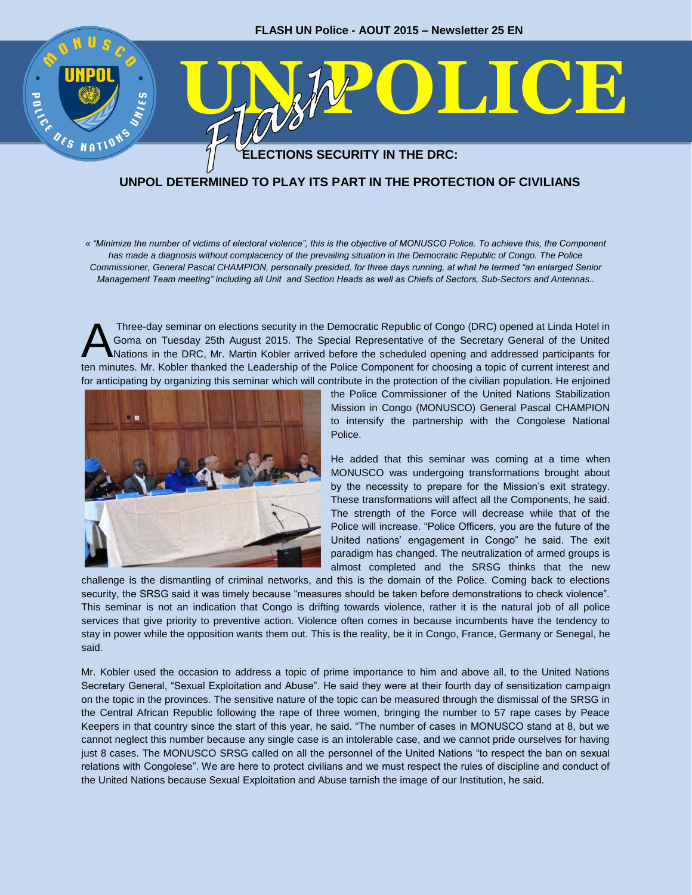

## **UNPOL DETERMINED TO PLAY ITS PART IN THE PROTECTION OF CIVILIANS**

*« "Minimize the number of victims of electoral violence", this is the objective of MONUSCO Police. To achieve this, the Component has made a diagnosis without complacency of the prevailing situation in the Democratic Republic of Congo. The Police Commissioner, General Pascal CHAMPION, personally presided, for three days running, at what he termed "an enlarged Senior Management Team meeting" including all Unit and Section Heads as well as Chiefs of Sectors, Sub-Sectors and Antennas..* 

Three-day seminar on elections security in the Democratic Republic of Congo (DRC) opened at Linda Hotel in Goma on Tuesday 25th August 2015. The Special Representative of the Secretary General of the United Nations in the DRC, Mr. Martin Kobler arrived before the scheduled opening and addressed participants for ten minutes. Mr. Kobler thanked the Leadership of the Police Component for choosing a topic of current interest and for anticipating by organizing this seminar which will contribute in the protection of the civilian population. He enjoined A



the Police Commissioner of the United Nations Stabilization Mission in Congo (MONUSCO) General Pascal CHAMPION to intensify the partnership with the Congolese National Police.

He added that this seminar was coming at a time when MONUSCO was undergoing transformations brought about by the necessity to prepare for the Mission's exit strategy. These transformations will affect all the Components, he said. The strength of the Force will decrease while that of the Police will increase. "Police Officers, you are the future of the United nations' engagement in Congo" he said. The exit paradigm has changed. The neutralization of armed groups is almost completed and the SRSG thinks that the new

challenge is the dismantling of criminal networks, and this is the domain of the Police. Coming back to elections security, the SRSG said it was timely because "measures should be taken before demonstrations to check violence". This seminar is not an indication that Congo is drifting towards violence, rather it is the natural job of all police services that give priority to preventive action. Violence often comes in because incumbents have the tendency to stay in power while the opposition wants them out. This is the reality, be it in Congo, France, Germany or Senegal, he said.

Mr. Kobler used the occasion to address a topic of prime importance to him and above all, to the United Nations Secretary General, "Sexual Exploitation and Abuse". He said they were at their fourth day of sensitization campaign on the topic in the provinces. The sensitive nature of the topic can be measured through the dismissal of the SRSG in the Central African Republic following the rape of three women, bringing the number to 57 rape cases by Peace Keepers in that country since the start of this year, he said. "The number of cases in MONUSCO stand at 8, but we cannot neglect this number because any single case is an intolerable case, and we cannot pride ourselves for having just 8 cases. The MONUSCO SRSG called on all the personnel of the United Nations "to respect the ban on sexual relations with Congolese". We are here to protect civilians and we must respect the rules of discipline and conduct of the United Nations because Sexual Exploitation and Abuse tarnish the image of our Institution, he said.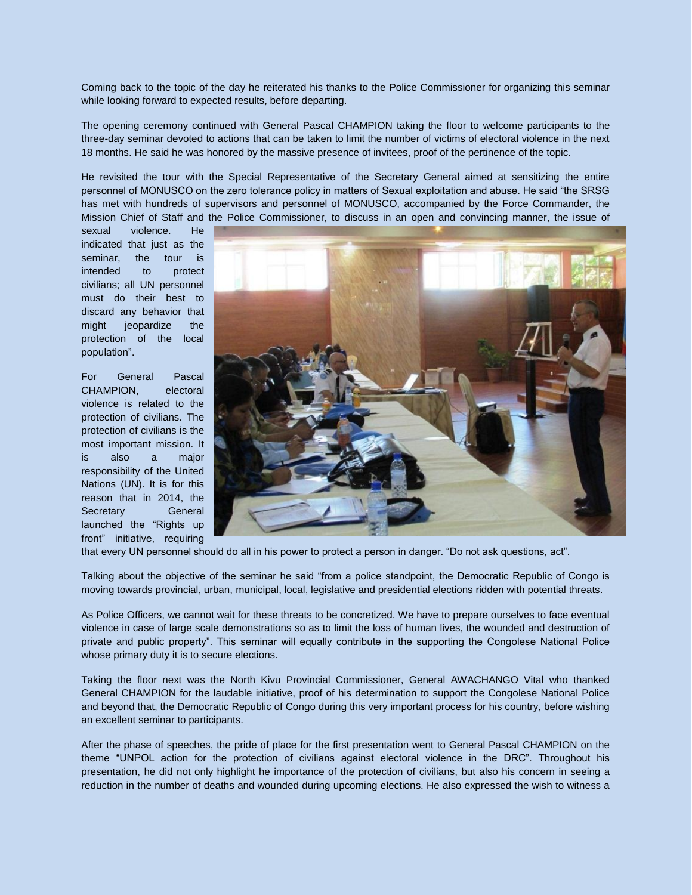Coming back to the topic of the day he reiterated his thanks to the Police Commissioner for organizing this seminar while looking forward to expected results, before departing.

The opening ceremony continued with General Pascal CHAMPION taking the floor to welcome participants to the three-day seminar devoted to actions that can be taken to limit the number of victims of electoral violence in the next 18 months. He said he was honored by the massive presence of invitees, proof of the pertinence of the topic.

He revisited the tour with the Special Representative of the Secretary General aimed at sensitizing the entire personnel of MONUSCO on the zero tolerance policy in matters of Sexual exploitation and abuse. He said "the SRSG has met with hundreds of supervisors and personnel of MONUSCO, accompanied by the Force Commander, the Mission Chief of Staff and the Police Commissioner, to discuss in an open and convincing manner, the issue of

sexual violence. He indicated that just as the seminar, the tour is intended to protect civilians; all UN personnel must do their best to discard any behavior that might jeopardize the protection of the local population".

For General Pascal CHAMPION, electoral violence is related to the protection of civilians. The protection of civilians is the most important mission. It is also a major responsibility of the United Nations (UN). It is for this reason that in 2014, the Secretary **General** launched the "Rights up front" initiative, requiring



that every UN personnel should do all in his power to protect a person in danger. "Do not ask questions, act".

Talking about the objective of the seminar he said "from a police standpoint, the Democratic Republic of Congo is moving towards provincial, urban, municipal, local, legislative and presidential elections ridden with potential threats.

As Police Officers, we cannot wait for these threats to be concretized. We have to prepare ourselves to face eventual violence in case of large scale demonstrations so as to limit the loss of human lives, the wounded and destruction of private and public property". This seminar will equally contribute in the supporting the Congolese National Police whose primary duty it is to secure elections.

Taking the floor next was the North Kivu Provincial Commissioner, General AWACHANGO Vital who thanked General CHAMPION for the laudable initiative, proof of his determination to support the Congolese National Police and beyond that, the Democratic Republic of Congo during this very important process for his country, before wishing an excellent seminar to participants.

After the phase of speeches, the pride of place for the first presentation went to General Pascal CHAMPION on the theme "UNPOL action for the protection of civilians against electoral violence in the DRC". Throughout his presentation, he did not only highlight he importance of the protection of civilians, but also his concern in seeing a reduction in the number of deaths and wounded during upcoming elections. He also expressed the wish to witness a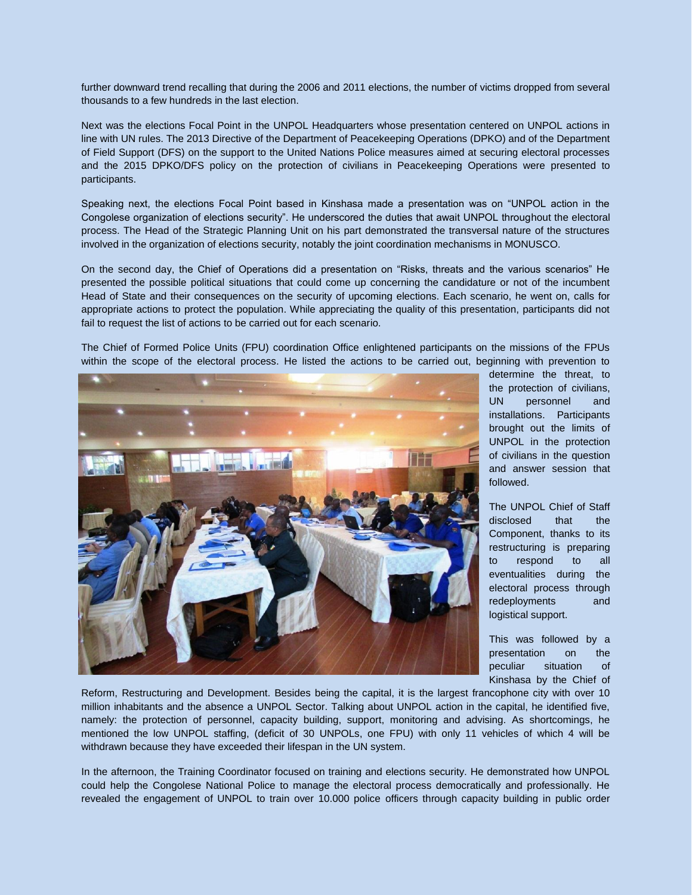further downward trend recalling that during the 2006 and 2011 elections, the number of victims dropped from several thousands to a few hundreds in the last election.

Next was the elections Focal Point in the UNPOL Headquarters whose presentation centered on UNPOL actions in line with UN rules. The 2013 Directive of the Department of Peacekeeping Operations (DPKO) and of the Department of Field Support (DFS) on the support to the United Nations Police measures aimed at securing electoral processes and the 2015 DPKO/DFS policy on the protection of civilians in Peacekeeping Operations were presented to participants.

Speaking next, the elections Focal Point based in Kinshasa made a presentation was on "UNPOL action in the Congolese organization of elections security". He underscored the duties that await UNPOL throughout the electoral process. The Head of the Strategic Planning Unit on his part demonstrated the transversal nature of the structures involved in the organization of elections security, notably the joint coordination mechanisms in MONUSCO.

On the second day, the Chief of Operations did a presentation on "Risks, threats and the various scenarios" He presented the possible political situations that could come up concerning the candidature or not of the incumbent Head of State and their consequences on the security of upcoming elections. Each scenario, he went on, calls for appropriate actions to protect the population. While appreciating the quality of this presentation, participants did not fail to request the list of actions to be carried out for each scenario.

The Chief of Formed Police Units (FPU) coordination Office enlightened participants on the missions of the FPUs within the scope of the electoral process. He listed the actions to be carried out, beginning with prevention to



determine the threat, to the protection of civilians, UN personnel and installations. Participants brought out the limits of UNPOL in the protection of civilians in the question and answer session that followed.

The UNPOL Chief of Staff disclosed that the Component, thanks to its restructuring is preparing to respond to all eventualities during the electoral process through redeployments and logistical support.

This was followed by a presentation on the peculiar situation of Kinshasa by the Chief of

Reform, Restructuring and Development. Besides being the capital, it is the largest francophone city with over 10 million inhabitants and the absence a UNPOL Sector. Talking about UNPOL action in the capital, he identified five, namely: the protection of personnel, capacity building, support, monitoring and advising. As shortcomings, he mentioned the low UNPOL staffing, (deficit of 30 UNPOLs, one FPU) with only 11 vehicles of which 4 will be withdrawn because they have exceeded their lifespan in the UN system.

In the afternoon, the Training Coordinator focused on training and elections security. He demonstrated how UNPOL could help the Congolese National Police to manage the electoral process democratically and professionally. He revealed the engagement of UNPOL to train over 10.000 police officers through capacity building in public order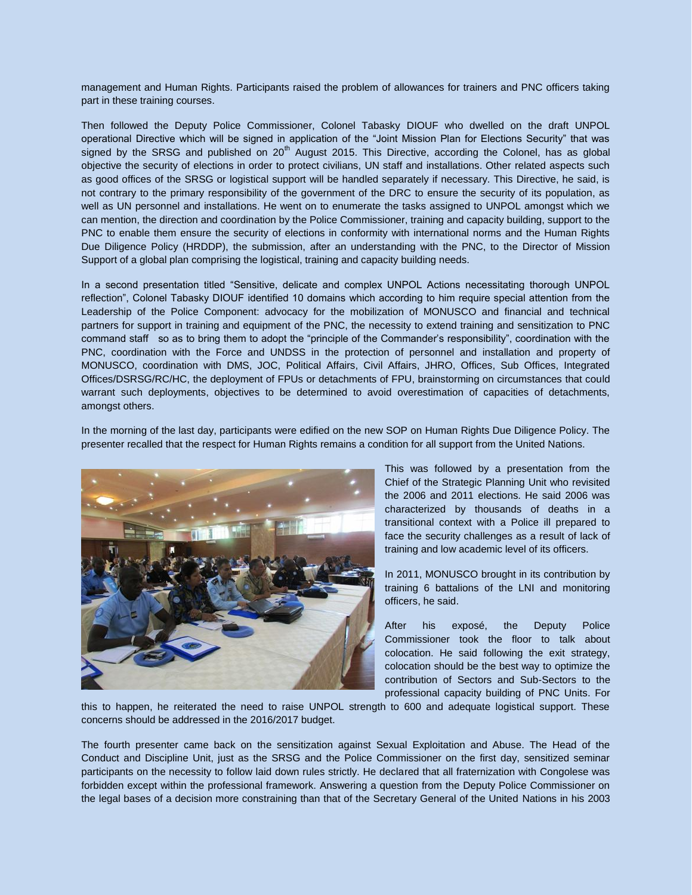management and Human Rights. Participants raised the problem of allowances for trainers and PNC officers taking part in these training courses.

Then followed the Deputy Police Commissioner, Colonel Tabasky DIOUF who dwelled on the draft UNPOL operational Directive which will be signed in application of the "Joint Mission Plan for Elections Security" that was signed by the SRSG and published on  $20<sup>th</sup>$  August 2015. This Directive, according the Colonel, has as global objective the security of elections in order to protect civilians, UN staff and installations. Other related aspects such as good offices of the SRSG or logistical support will be handled separately if necessary. This Directive, he said, is not contrary to the primary responsibility of the government of the DRC to ensure the security of its population, as well as UN personnel and installations. He went on to enumerate the tasks assigned to UNPOL amongst which we can mention, the direction and coordination by the Police Commissioner, training and capacity building, support to the PNC to enable them ensure the security of elections in conformity with international norms and the Human Rights Due Diligence Policy (HRDDP), the submission, after an understanding with the PNC, to the Director of Mission Support of a global plan comprising the logistical, training and capacity building needs.

In a second presentation titled "Sensitive, delicate and complex UNPOL Actions necessitating thorough UNPOL reflection", Colonel Tabasky DIOUF identified 10 domains which according to him require special attention from the Leadership of the Police Component: advocacy for the mobilization of MONUSCO and financial and technical partners for support in training and equipment of the PNC, the necessity to extend training and sensitization to PNC command staff so as to bring them to adopt the "principle of the Commander's responsibility", coordination with the PNC, coordination with the Force and UNDSS in the protection of personnel and installation and property of MONUSCO, coordination with DMS, JOC, Political Affairs, Civil Affairs, JHRO, Offices, Sub Offices, Integrated Offices/DSRSG/RC/HC, the deployment of FPUs or detachments of FPU, brainstorming on circumstances that could warrant such deployments, objectives to be determined to avoid overestimation of capacities of detachments, amongst others.

In the morning of the last day, participants were edified on the new SOP on Human Rights Due Diligence Policy. The presenter recalled that the respect for Human Rights remains a condition for all support from the United Nations.



This was followed by a presentation from the Chief of the Strategic Planning Unit who revisited the 2006 and 2011 elections. He said 2006 was characterized by thousands of deaths in a transitional context with a Police ill prepared to face the security challenges as a result of lack of training and low academic level of its officers.

In 2011, MONUSCO brought in its contribution by training 6 battalions of the LNI and monitoring officers, he said.

After his exposé, the Deputy Police Commissioner took the floor to talk about colocation. He said following the exit strategy, colocation should be the best way to optimize the contribution of Sectors and Sub-Sectors to the professional capacity building of PNC Units. For

this to happen, he reiterated the need to raise UNPOL strength to 600 and adequate logistical support. These concerns should be addressed in the 2016/2017 budget.

The fourth presenter came back on the sensitization against Sexual Exploitation and Abuse. The Head of the Conduct and Discipline Unit, just as the SRSG and the Police Commissioner on the first day, sensitized seminar participants on the necessity to follow laid down rules strictly. He declared that all fraternization with Congolese was forbidden except within the professional framework. Answering a question from the Deputy Police Commissioner on the legal bases of a decision more constraining than that of the Secretary General of the United Nations in his 2003